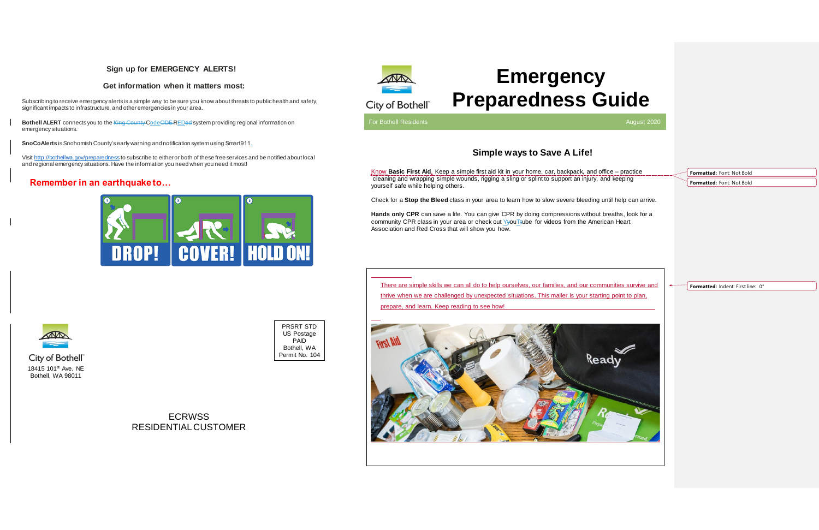There are simple skills we can all do to help ourselves, our families, and our communities survive and thrive when we are challenged by unexpected situations. This mailer is your starting point to plan, prepare, and learn. Keep reading to see how!



# **Emergency Preparedness Guide**

For Bothell Residents August 2020 and the Contract of Contract Contract of Contract Contract August 2020

## **Simple ways to Save A Life!**

Know **Basic First Aid**. Keep a simple first aid kit in your home, car, backpack, and office – practice cleaning and wrapping simple wounds, rigging a sling or splint to support an injury, and keeping yourself safe while helping others.

Check for a **Stop the Bleed** class in your area to learn how to slow severe bleeding until help can arrive.

**Bothell ALERT** connects you to the King County CodeODE REDed system providing regional information on emergency situations.

> **Hands only CPR** can save a life. You can give CPR by doing compressions without breaths, look for a community CPR class in your area or check out YyouTtube for videos from the American Heart Association and Red Cross that will show you how.

**ECRWSS** RESIDENTIAL CUSTOMER

### **Sign up for EMERGENCY ALERTS!**

#### **Get information when it matters most:**

Subscribing to receive emergency alerts is a simple way to be sure you know about threats to public health and safety, significant impacts to infrastructure, and other emergencies in your area.

**SnoCoAlerts** is Snohomish County's early warning and notification system using Smart911.

Visit<http://bothellwa.gov/preparedness> to subscribe to either or both of these free services and be notified about local and regional emergency situations. Have the information you need when you need it most!

## **Remember in an earthquake to…**







PRSRT STD US Postage PAID Bothell, WA Permit No. 104



**Formatted:** Font: Not Bold **Formatted:** Font: Not Bold

**Formatted:** Indent: First line: 0"